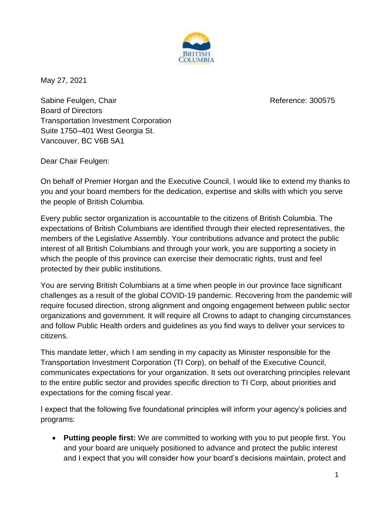

May 27, 2021

Sabine Feulgen, Chair Reference: 300575 Board of Directors Transportation Investment Corporation Suite 1750–401 West Georgia St. Vancouver, BC V6B 5A1

Dear Chair Feulgen:

On behalf of Premier Horgan and the Executive Council, I would like to extend my thanks to you and your board members for the dedication, expertise and skills with which you serve the people of British Columbia.

Every public sector organization is accountable to the citizens of British Columbia. The expectations of British Columbians are identified through their elected representatives, the members of the Legislative Assembly. Your contributions advance and protect the public interest of all British Columbians and through your work, you are supporting a society in which the people of this province can exercise their democratic rights, trust and feel protected by their public institutions.

You are serving British Columbians at a time when people in our province face significant challenges as a result of the global COVID-19 pandemic. Recovering from the pandemic will require focused direction, strong alignment and ongoing engagement between public sector organizations and government. It will require all Crowns to adapt to changing circumstances and follow Public Health orders and guidelines as you find ways to deliver your services to citizens.

This mandate letter, which I am sending in my capacity as Minister responsible for the Transportation Investment Corporation (TI Corp), on behalf of the Executive Council, communicates expectations for your organization. It sets out overarching principles relevant to the entire public sector and provides specific direction to TI Corp, about priorities and expectations for the coming fiscal year.

I expect that the following five foundational principles will inform your agency's policies and programs:

• **Putting people first:** We are committed to working with you to put people first. You and your board are uniquely positioned to advance and protect the public interest and I expect that you will consider how your board's decisions maintain, protect and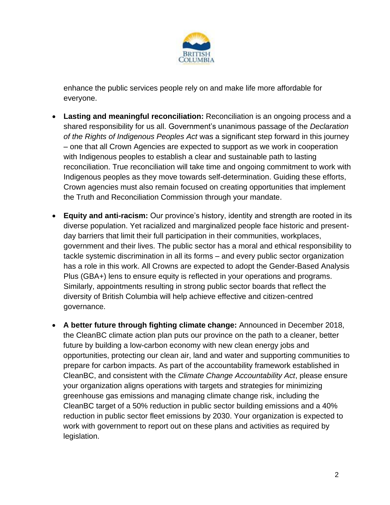

enhance the public services people rely on and make life more affordable for everyone.

- **Lasting and meaningful reconciliation:** Reconciliation is an ongoing process and a shared responsibility for us all. Government's unanimous passage of the *Declaration of the Rights of Indigenous Peoples Act* was a significant step forward in this journey – one that all Crown Agencies are expected to support as we work in cooperation with Indigenous peoples to establish a clear and sustainable path to lasting reconciliation. True reconciliation will take time and ongoing commitment to work with Indigenous peoples as they move towards self-determination. Guiding these efforts, Crown agencies must also remain focused on creating opportunities that implement the Truth and Reconciliation Commission through your mandate.
- **Equity and anti-racism:** Our province's history, identity and strength are rooted in its diverse population. Yet racialized and marginalized people face historic and presentday barriers that limit their full participation in their communities, workplaces, government and their lives. The public sector has a moral and ethical responsibility to tackle systemic discrimination in all its forms – and every public sector organization has a role in this work. All Crowns are expected to adopt the Gender-Based Analysis Plus (GBA+) lens to ensure equity is reflected in your operations and programs. Similarly, appointments resulting in strong public sector boards that reflect the diversity of British Columbia will help achieve effective and citizen-centred governance.
- **A better future through fighting climate change:** Announced in December 2018, the CleanBC climate action plan puts our province on the path to a cleaner, better future by building a low-carbon economy with new clean energy jobs and opportunities, protecting our clean air, land and water and supporting communities to prepare for carbon impacts. As part of the accountability framework established in CleanBC, and consistent with the *Climate Change Accountability Act*, please ensure your organization aligns operations with targets and strategies for minimizing greenhouse gas emissions and managing climate change risk, including the CleanBC target of a 50% reduction in public sector building emissions and a 40% reduction in public sector fleet emissions by 2030. Your organization is expected to work with government to report out on these plans and activities as required by legislation.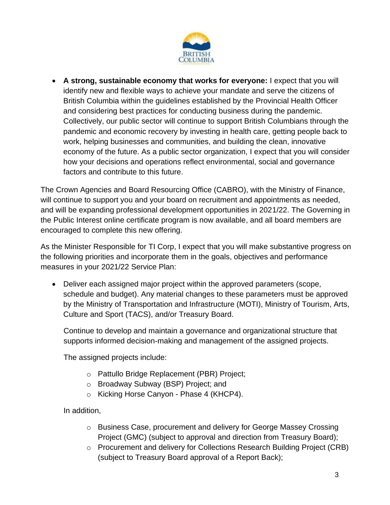

• **A strong, sustainable economy that works for everyone:** I expect that you will identify new and flexible ways to achieve your mandate and serve the citizens of British Columbia within the guidelines established by the Provincial Health Officer and considering best practices for conducting business during the pandemic. Collectively, our public sector will continue to support British Columbians through the pandemic and economic recovery by investing in health care, getting people back to work, helping businesses and communities, and building the clean, innovative economy of the future. As a public sector organization, I expect that you will consider how your decisions and operations reflect environmental, social and governance factors and contribute to this future.

The Crown Agencies and Board Resourcing Office (CABRO), with the Ministry of Finance, will continue to support you and your board on recruitment and appointments as needed, and will be expanding professional development opportunities in 2021/22. The Governing in the Public Interest online certificate program is now available, and all board members are encouraged to complete this new offering.

As the Minister Responsible for TI Corp, I expect that you will make substantive progress on the following priorities and incorporate them in the goals, objectives and performance measures in your 2021/22 Service Plan:

• Deliver each assigned major project within the approved parameters (scope, schedule and budget). Any material changes to these parameters must be approved by the Ministry of Transportation and Infrastructure (MOTI), Ministry of Tourism, Arts, Culture and Sport (TACS), and/or Treasury Board.

Continue to develop and maintain a governance and organizational structure that supports informed decision-making and management of the assigned projects.

The assigned projects include:

- o Pattullo Bridge Replacement (PBR) Project;
- o Broadway Subway (BSP) Project; and
- o Kicking Horse Canyon Phase 4 (KHCP4).

In addition,

- $\circ$  Business Case, procurement and delivery for George Massey Crossing Project (GMC) (subject to approval and direction from Treasury Board);
- o Procurement and delivery for Collections Research Building Project (CRB) (subject to Treasury Board approval of a Report Back);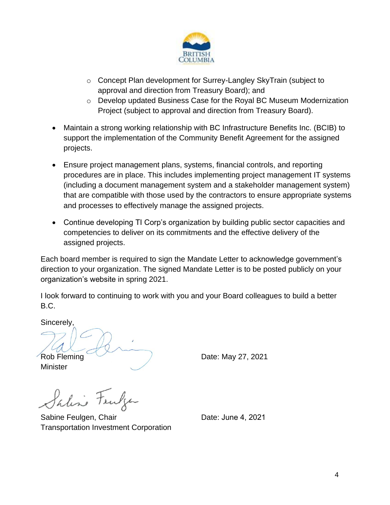

- o Concept Plan development for Surrey-Langley SkyTrain (subject to approval and direction from Treasury Board); and
- $\circ$  Develop updated Business Case for the Royal BC Museum Modernization Project (subject to approval and direction from Treasury Board).
- Maintain a strong working relationship with BC Infrastructure Benefits Inc. (BCIB) to support the implementation of the Community Benefit Agreement for the assigned projects.
- Ensure project management plans, systems, financial controls, and reporting procedures are in place. This includes implementing project management IT systems (including a document management system and a stakeholder management system) that are compatible with those used by the contractors to ensure appropriate systems and processes to effectively manage the assigned projects.
- Continue developing TI Corp's organization by building public sector capacities and competencies to deliver on its commitments and the effective delivery of the assigned projects.

Each board member is required to sign the Mandate Letter to acknowledge government's direction to your organization. The signed Mandate Letter is to be posted publicly on your organization's website in spring 2021.

I look forward to continuing to work with you and your Board colleagues to build a better B.C.

Sincerely,

**Minister** 



Paline Fewler

Sabine Feulgen, Chair **Date: June 4, 2021** Transportation Investment Corporation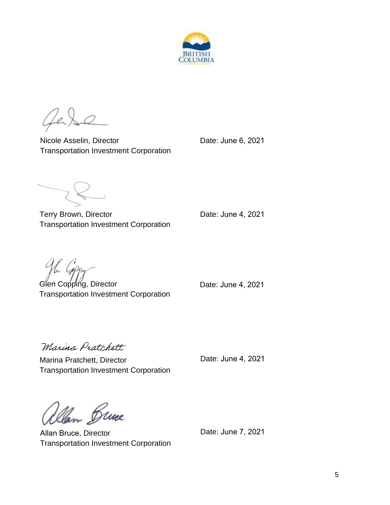

CLe.

Nicole Asselin, Director **Date: Unit Contact Property** Date: June 6, 2021 Transportation Investment Corporation

Terry Brown, Director **Date: June 4, 2021** Transportation Investment Corporation

The Coppy

Glen Copping, Director **Date: June 4, 2021** Transportation Investment Corporation

Marina Pratchett

Marina Pratchett, Director **Date: Unit Contact Pratchett**, Director Transportation Investment Corporation

Dlan Bruce

Allan Bruce, Director Transportation Investment Corporation

Date: June 7, 2021